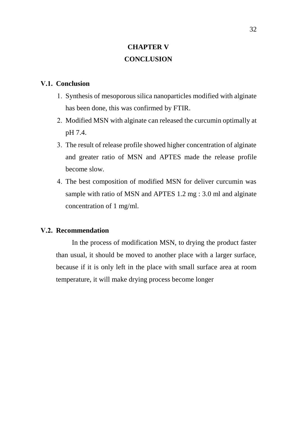## **CHAPTER V CONCLUSION**

## **V.1. Conclusion**

- 1. Synthesis of mesoporous silica nanoparticles modified with alginate has been done, this was confirmed by FTIR.
- 2. Modified MSN with alginate can released the curcumin optimally at pH 7.4.
- 3. The result of release profile showed higher concentration of alginate and greater ratio of MSN and APTES made the release profile become slow.
- 4. The best composition of modified MSN for deliver curcumin was sample with ratio of MSN and APTES 1.2 mg : 3.0 ml and alginate concentration of 1 mg/ml.

## **V.2. Recommendation**

In the process of modification MSN, to drying the product faster than usual, it should be moved to another place with a larger surface, because if it is only left in the place with small surface area at room temperature, it will make drying process become longer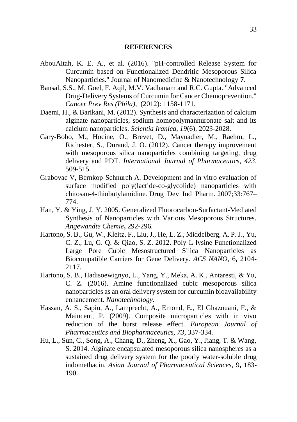## **REFERENCES**

- AbouAitah, K. E. A., et al. (2016). "pH-controlled Release System for Curcumin based on Functionalized Dendritic Mesoporous Silica Nanoparticles." Journal of Nanomedicine & Nanotechnology **7**.
- Bansal, S.S., M. Goel, F. Aqil, M.V. Vadhanam and R.C. Gupta. "Advanced Drug-Delivery Systems of Curcumin for Cancer Chemoprevention." *Cancer Prev Res (Phila)*, (2012): 1158-1171.
- Daemi, H., & Barikani, M. (2012). Synthesis and characterization of calcium alginate nanoparticles, sodium homopolymannuronate salt and its calcium nanoparticles. *Scientia Iranica, 19*(6), 2023-2028.
- Gary-Bobo, M., Hocine, O., Brevet, D., Maynadier, M., Raehm, L., Richester, S., Durand, J. O. (2012). Cancer therapy improvement with mesoporous silica nanoparticles combining targeting, drug delivery and PDT. *International Journal of Pharmaceutics, 423*, 509-515.
- Grabovac V, Bernkop-Schnurch A. Development and in vitro evaluation of surface modified poly(lactide-co-glycolide) nanoparticles with chitosan-4-thiobutylamidine. Drug Dev Ind Pharm. 2007;33:767– 774.
- Han, Y. & Ying, J. Y. 2005. Generalized Fluorocarbon-Surfactant-Mediated Synthesis of Nanoparticles with Various Mesoporous Structures. *Angewandte Chemie***,** 292-296.
- Hartono, S. B., Gu, W., Kleitz, F., Liu, J., He, L. Z., Middelberg, A. P. J., Yu, C. Z., Lu, G. Q. & Qiao, S. Z. 2012. Poly-L-lysine Functionalized Large Pore Cubic Mesostructured Silica Nanoparticles as Biocompatible Carriers for Gene Delivery. *ACS NANO,* 6**,** 2104- 2117.
- Hartono, S. B., Hadisoewignyo, L., Yang, Y., Meka, A. K., Antaresti, & Yu, C. Z. (2016). Amine functionalized cubic mesoporous silica nanoparticles as an oral delivery system for curcumin bioavailability enhancement. *Nanotechnology*.
- Hassan, A. S., Sapin, A., Lamprecht, A., Emond, E., El Ghazouani, F., & Maincent, P. (2009). Composite microparticles with in vivo reduction of the burst release effect. *European Journal of Pharmaceutics and Biopharmaceutics, 73*, 337-334.
- Hu, L., Sun, C., Song, A., Chang, D., Zheng, X., Gao, Y., Jiang, T. & Wang, S. 2014. Alginate encapsulated mesoporous silica nanospheres as a sustained drug delivery system for the poorly water-soluble drug indomethacin. *Asian Journal of Pharmaceutical Sciences,* 9**,** 183- 190.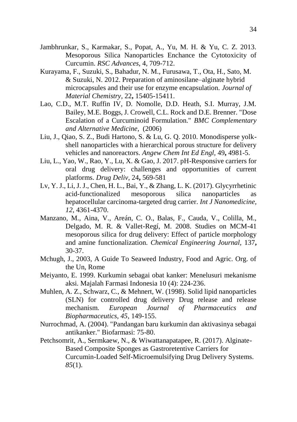- Jambhrunkar, S., Karmakar, S., Popat, A., Yu, M. H. & Yu, C. Z. 2013. Mesoporous Silica Nanoparticles Enchance the Cytotoxicity of Curcumin. *RSC Advances*, 4, 709-712.
- Kurayama, F., Suzuki, S., Bahadur, N. M., Furusawa, T., Ota, H., Sato, M. & Suzuki, N. 2012. Preparation of aminosilane–alginate hybrid microcapsules and their use for enzyme encapsulation. *Journal of Material Chemistry,* 22**,** 15405-15411.
- Lao, C.D., M.T. Ruffin IV, D. Nomolle, D.D. Heath, S.I. Murray, J.M. Bailey, M.E. Boggs, J. Crowell, C.L. Rock and D.E. Brenner. "Dose Escalation of a Curcuminoid Formulation." *BMC Complementary and Alternative Medicine*, (2006)
- Liu, J., Qiao, S. Z., Budi Hartono, S. & Lu, G. Q. 2010. Monodisperse yolkshell nanoparticles with a hierarchical porous structure for delivery vehicles and nanoreactors. *Angew Chem Int Ed Engl,* 49**,** 4981-5.
- Liu, L., Yao, W., Rao, Y., Lu, X. & Gao, J. 2017. pH-Responsive carriers for oral drug delivery: challenges and opportunities of current platforms. *Drug Deliv,* 24**,** 569-581
- Lv, Y. J., Li, J. J., Chen, H. L., Bai, Y., & Zhang, L. K. (2017). Glycyrrhetinic acid-functionalized mesoporous silica nanoparticles as hepatocellular carcinoma-targeted drug carrier. *Int J Nanomedicine, 12*, 4361-4370.
- Manzano, M., Aina, V., Areán, C. O., Balas, F., Cauda, V., Colilla, M., Delgado, M. R. & Vallet-Regí, M. 2008. Studies on MCM-41 mesoporous silica for drug delivery: Effect of particle morphology and amine functionalization. *Chemical Engineering Journal,* 137**,** 30-37.
- Mchugh, J., 2003, A Guide To Seaweed Industry, Food and Agric. Org. of the Un, Rome
- Meiyanto, E. 1999. Kurkumin sebagai obat kanker: Menelusuri mekanisme aksi. Majalah Farmasi Indonesia 10 (4): 224-236.
- Muhlen, A. Z., Schwarz, C., & Mehnert, W. (1998). Solid lipid nanoparticles (SLN) for controlled drug delivery Drug release and release mechanism. *European Journal of Pharmaceutics and Biopharmaceutics, 45*, 149-155.
- Nurrochmad, A. (2004). "Pandangan baru kurkumin dan aktivasinya sebagai antikanker." Biofarmasi: 75-80.
- Petchsomrit, A., Sermkaew, N., & Wiwattanapatapee, R. (2017). Alginate-Based Composite Sponges as Gastroretentive Carriers for Curcumin-Loaded Self-Microemulsifying Drug Delivery Systems. *85*(1).